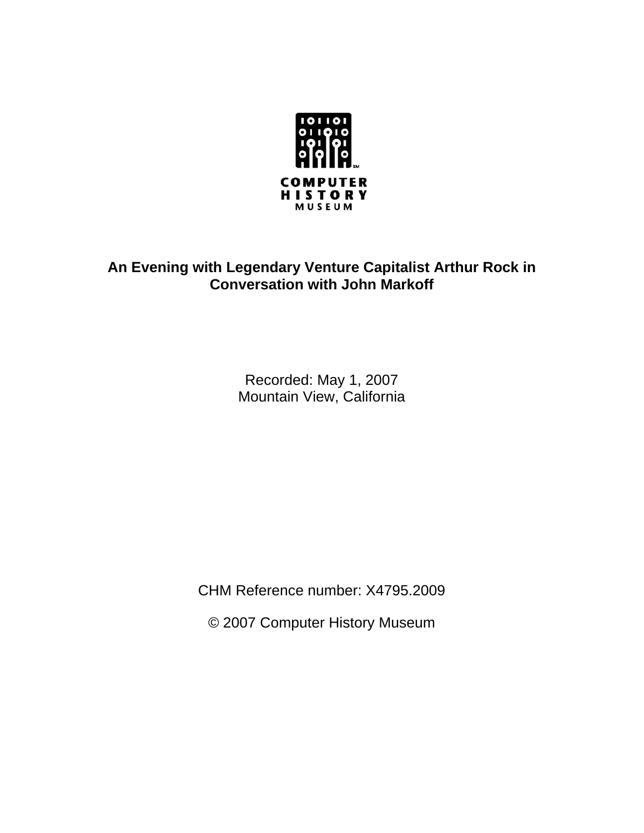

## **An Evening with Legendary Venture Capitalist Arthur Rock in Conversation with John Markoff**

Recorded: May 1, 2007 Mountain View, California

CHM Reference number: X4795.2009

© 2007 Computer History Museum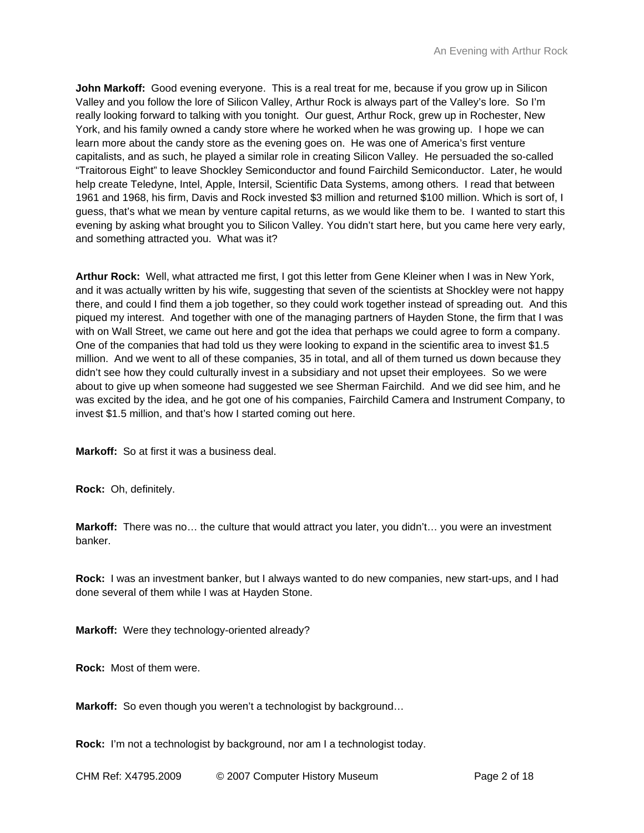**John Markoff:** Good evening everyone. This is a real treat for me, because if you grow up in Silicon Valley and you follow the lore of Silicon Valley, Arthur Rock is always part of the Valley's lore. So I'm really looking forward to talking with you tonight. Our guest, Arthur Rock, grew up in Rochester, New York, and his family owned a candy store where he worked when he was growing up. I hope we can learn more about the candy store as the evening goes on. He was one of America's first venture capitalists, and as such, he played a similar role in creating Silicon Valley. He persuaded the so-called "Traitorous Eight" to leave Shockley Semiconductor and found Fairchild Semiconductor. Later, he would help create Teledyne, Intel, Apple, Intersil, Scientific Data Systems, among others. I read that between 1961 and 1968, his firm, Davis and Rock invested \$3 million and returned \$100 million. Which is sort of, I guess, that's what we mean by venture capital returns, as we would like them to be. I wanted to start this evening by asking what brought you to Silicon Valley. You didn't start here, but you came here very early, and something attracted you. What was it?

**Arthur Rock:** Well, what attracted me first, I got this letter from Gene Kleiner when I was in New York, and it was actually written by his wife, suggesting that seven of the scientists at Shockley were not happy there, and could I find them a job together, so they could work together instead of spreading out. And this piqued my interest. And together with one of the managing partners of Hayden Stone, the firm that I was with on Wall Street, we came out here and got the idea that perhaps we could agree to form a company. One of the companies that had told us they were looking to expand in the scientific area to invest \$1.5 million. And we went to all of these companies, 35 in total, and all of them turned us down because they didn't see how they could culturally invest in a subsidiary and not upset their employees. So we were about to give up when someone had suggested we see Sherman Fairchild. And we did see him, and he was excited by the idea, and he got one of his companies, Fairchild Camera and Instrument Company, to invest \$1.5 million, and that's how I started coming out here.

**Markoff:** So at first it was a business deal.

**Rock:** Oh, definitely.

**Markoff:** There was no… the culture that would attract you later, you didn't… you were an investment banker.

**Rock:** I was an investment banker, but I always wanted to do new companies, new start-ups, and I had done several of them while I was at Hayden Stone.

**Markoff:** Were they technology-oriented already?

**Rock:** Most of them were.

**Markoff:** So even though you weren't a technologist by background…

**Rock:** I'm not a technologist by background, nor am I a technologist today.

CHM Ref: X4795.2009 © 2007 Computer History Museum Page 2 of 18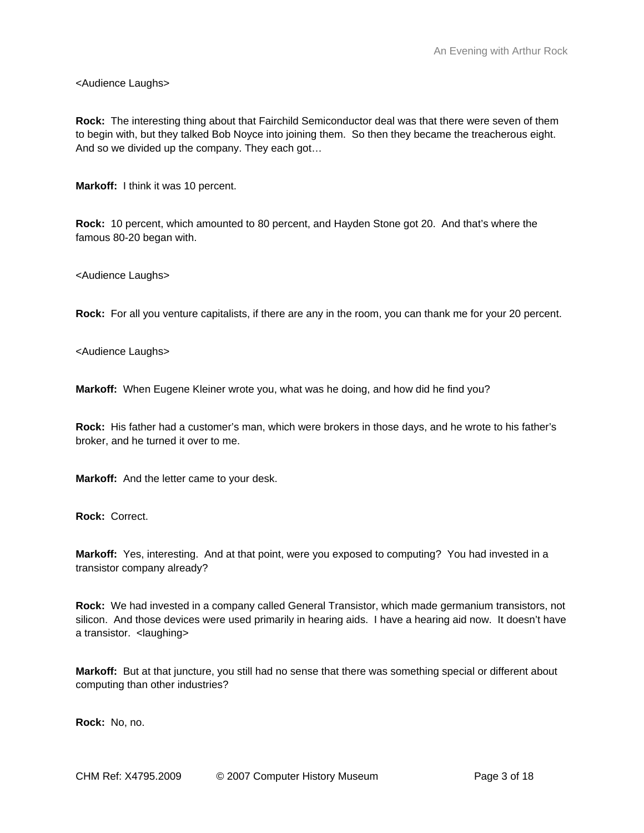<Audience Laughs>

**Rock:** The interesting thing about that Fairchild Semiconductor deal was that there were seven of them to begin with, but they talked Bob Noyce into joining them. So then they became the treacherous eight. And so we divided up the company. They each got…

**Markoff:** I think it was 10 percent.

**Rock:** 10 percent, which amounted to 80 percent, and Hayden Stone got 20. And that's where the famous 80-20 began with.

<Audience Laughs>

**Rock:** For all you venture capitalists, if there are any in the room, you can thank me for your 20 percent.

<Audience Laughs>

**Markoff:** When Eugene Kleiner wrote you, what was he doing, and how did he find you?

**Rock:** His father had a customer's man, which were brokers in those days, and he wrote to his father's broker, and he turned it over to me.

**Markoff:** And the letter came to your desk.

**Rock:** Correct.

**Markoff:** Yes, interesting. And at that point, were you exposed to computing? You had invested in a transistor company already?

**Rock:** We had invested in a company called General Transistor, which made germanium transistors, not silicon. And those devices were used primarily in hearing aids. I have a hearing aid now. It doesn't have a transistor. <laughing>

**Markoff:** But at that juncture, you still had no sense that there was something special or different about computing than other industries?

**Rock:** No, no.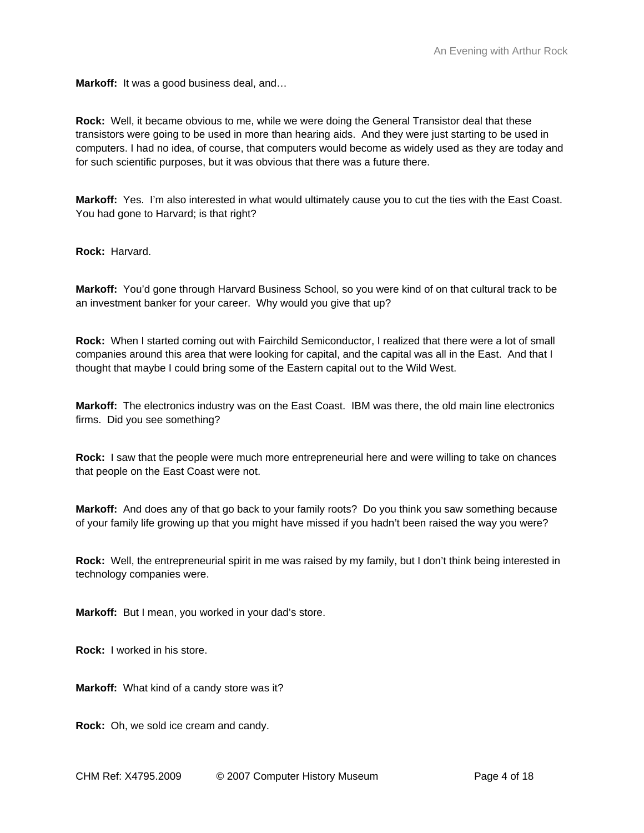**Markoff:** It was a good business deal, and…

**Rock:** Well, it became obvious to me, while we were doing the General Transistor deal that these transistors were going to be used in more than hearing aids. And they were just starting to be used in computers. I had no idea, of course, that computers would become as widely used as they are today and for such scientific purposes, but it was obvious that there was a future there.

**Markoff:** Yes. I'm also interested in what would ultimately cause you to cut the ties with the East Coast. You had gone to Harvard; is that right?

**Rock:** Harvard.

**Markoff:** You'd gone through Harvard Business School, so you were kind of on that cultural track to be an investment banker for your career. Why would you give that up?

**Rock:** When I started coming out with Fairchild Semiconductor, I realized that there were a lot of small companies around this area that were looking for capital, and the capital was all in the East. And that I thought that maybe I could bring some of the Eastern capital out to the Wild West.

**Markoff:** The electronics industry was on the East Coast. IBM was there, the old main line electronics firms. Did you see something?

**Rock:** I saw that the people were much more entrepreneurial here and were willing to take on chances that people on the East Coast were not.

**Markoff:** And does any of that go back to your family roots? Do you think you saw something because of your family life growing up that you might have missed if you hadn't been raised the way you were?

**Rock:** Well, the entrepreneurial spirit in me was raised by my family, but I don't think being interested in technology companies were.

**Markoff:** But I mean, you worked in your dad's store.

**Rock:** I worked in his store.

**Markoff:** What kind of a candy store was it?

**Rock:** Oh, we sold ice cream and candy.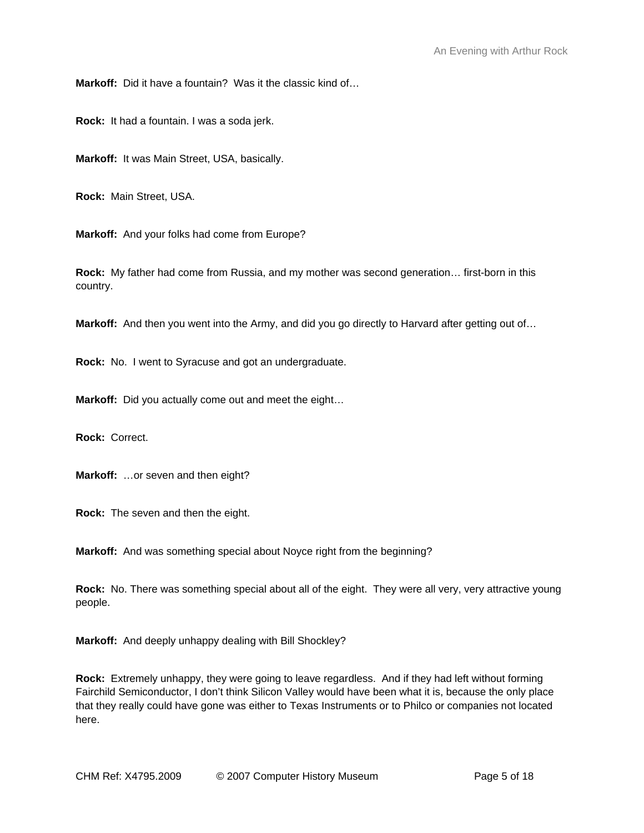**Markoff:** Did it have a fountain? Was it the classic kind of…

**Rock:** It had a fountain. I was a soda jerk.

**Markoff:** It was Main Street, USA, basically.

**Rock:** Main Street, USA.

**Markoff:** And your folks had come from Europe?

**Rock:** My father had come from Russia, and my mother was second generation… first-born in this country.

**Markoff:** And then you went into the Army, and did you go directly to Harvard after getting out of…

**Rock:** No. I went to Syracuse and got an undergraduate.

**Markoff:** Did you actually come out and meet the eight…

**Rock:** Correct.

**Markoff:** …or seven and then eight?

**Rock:** The seven and then the eight.

**Markoff:** And was something special about Noyce right from the beginning?

**Rock:** No. There was something special about all of the eight. They were all very, very attractive young people.

**Markoff:** And deeply unhappy dealing with Bill Shockley?

**Rock:** Extremely unhappy, they were going to leave regardless. And if they had left without forming Fairchild Semiconductor, I don't think Silicon Valley would have been what it is, because the only place that they really could have gone was either to Texas Instruments or to Philco or companies not located here.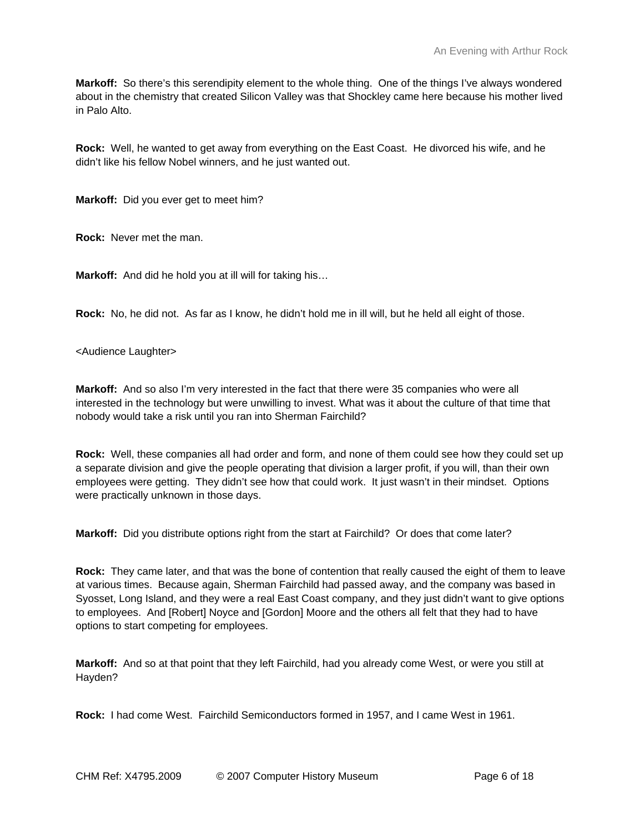**Markoff:** So there's this serendipity element to the whole thing. One of the things I've always wondered about in the chemistry that created Silicon Valley was that Shockley came here because his mother lived in Palo Alto.

**Rock:** Well, he wanted to get away from everything on the East Coast. He divorced his wife, and he didn't like his fellow Nobel winners, and he just wanted out.

**Markoff:** Did you ever get to meet him?

**Rock:** Never met the man.

**Markoff:** And did he hold you at ill will for taking his…

**Rock:** No, he did not. As far as I know, he didn't hold me in ill will, but he held all eight of those.

<Audience Laughter>

**Markoff:** And so also I'm very interested in the fact that there were 35 companies who were all interested in the technology but were unwilling to invest. What was it about the culture of that time that nobody would take a risk until you ran into Sherman Fairchild?

**Rock:** Well, these companies all had order and form, and none of them could see how they could set up a separate division and give the people operating that division a larger profit, if you will, than their own employees were getting. They didn't see how that could work. It just wasn't in their mindset. Options were practically unknown in those days.

**Markoff:** Did you distribute options right from the start at Fairchild? Or does that come later?

**Rock:** They came later, and that was the bone of contention that really caused the eight of them to leave at various times. Because again, Sherman Fairchild had passed away, and the company was based in Syosset, Long Island, and they were a real East Coast company, and they just didn't want to give options to employees. And [Robert] Noyce and [Gordon] Moore and the others all felt that they had to have options to start competing for employees.

**Markoff:** And so at that point that they left Fairchild, had you already come West, or were you still at Hayden?

**Rock:** I had come West. Fairchild Semiconductors formed in 1957, and I came West in 1961.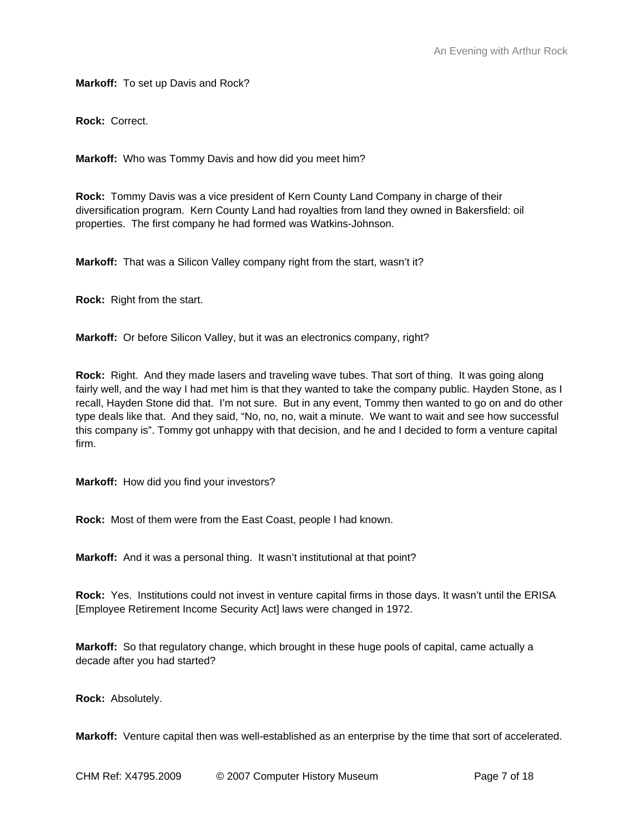**Markoff:** To set up Davis and Rock?

**Rock:** Correct.

**Markoff:** Who was Tommy Davis and how did you meet him?

**Rock:** Tommy Davis was a vice president of Kern County Land Company in charge of their diversification program. Kern County Land had royalties from land they owned in Bakersfield: oil properties. The first company he had formed was Watkins-Johnson.

**Markoff:** That was a Silicon Valley company right from the start, wasn't it?

**Rock:** Right from the start.

**Markoff:** Or before Silicon Valley, but it was an electronics company, right?

**Rock:** Right. And they made lasers and traveling wave tubes. That sort of thing. It was going along fairly well, and the way I had met him is that they wanted to take the company public. Hayden Stone, as I recall, Hayden Stone did that. I'm not sure. But in any event, Tommy then wanted to go on and do other type deals like that. And they said, "No, no, no, wait a minute. We want to wait and see how successful this company is". Tommy got unhappy with that decision, and he and I decided to form a venture capital firm.

**Markoff:** How did you find your investors?

**Rock:** Most of them were from the East Coast, people I had known.

**Markoff:** And it was a personal thing. It wasn't institutional at that point?

**Rock:** Yes. Institutions could not invest in venture capital firms in those days. It wasn't until the ERISA [Employee Retirement Income Security Act] laws were changed in 1972.

**Markoff:** So that regulatory change, which brought in these huge pools of capital, came actually a decade after you had started?

**Rock:** Absolutely.

**Markoff:** Venture capital then was well-established as an enterprise by the time that sort of accelerated.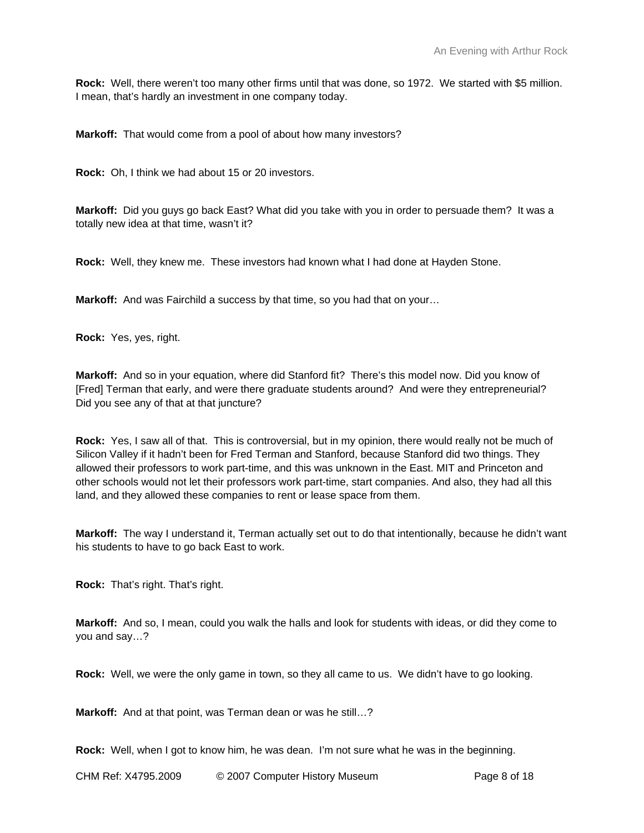**Rock:** Well, there weren't too many other firms until that was done, so 1972. We started with \$5 million. I mean, that's hardly an investment in one company today.

**Markoff:** That would come from a pool of about how many investors?

**Rock:** Oh, I think we had about 15 or 20 investors.

**Markoff:** Did you guys go back East? What did you take with you in order to persuade them? It was a totally new idea at that time, wasn't it?

**Rock:** Well, they knew me. These investors had known what I had done at Hayden Stone.

**Markoff:** And was Fairchild a success by that time, so you had that on your…

**Rock:** Yes, yes, right.

**Markoff:** And so in your equation, where did Stanford fit? There's this model now. Did you know of [Fred] Terman that early, and were there graduate students around? And were they entrepreneurial? Did you see any of that at that juncture?

**Rock:** Yes, I saw all of that. This is controversial, but in my opinion, there would really not be much of Silicon Valley if it hadn't been for Fred Terman and Stanford, because Stanford did two things. They allowed their professors to work part-time, and this was unknown in the East. MIT and Princeton and other schools would not let their professors work part-time, start companies. And also, they had all this land, and they allowed these companies to rent or lease space from them.

**Markoff:** The way I understand it, Terman actually set out to do that intentionally, because he didn't want his students to have to go back East to work.

**Rock:** That's right. That's right.

**Markoff:** And so, I mean, could you walk the halls and look for students with ideas, or did they come to you and say…?

**Rock:** Well, we were the only game in town, so they all came to us. We didn't have to go looking.

**Markoff:** And at that point, was Terman dean or was he still…?

**Rock:** Well, when I got to know him, he was dean. I'm not sure what he was in the beginning.

CHM Ref: X4795.2009 © 2007 Computer History Museum Page 8 of 18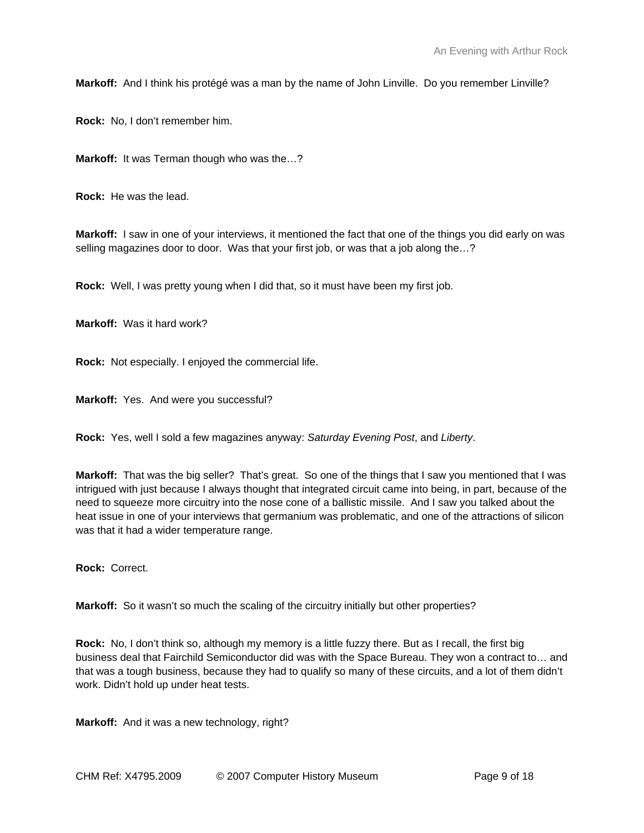**Markoff:** And I think his protégé was a man by the name of John Linville. Do you remember Linville?

**Rock:** No, I don't remember him.

**Markoff:** It was Terman though who was the…?

**Rock:** He was the lead.

**Markoff:** I saw in one of your interviews, it mentioned the fact that one of the things you did early on was selling magazines door to door. Was that your first job, or was that a job along the…?

**Rock:** Well, I was pretty young when I did that, so it must have been my first job.

**Markoff:** Was it hard work?

**Rock:** Not especially. I enjoyed the commercial life.

**Markoff:** Yes. And were you successful?

**Rock:** Yes, well I sold a few magazines anyway: *Saturday Evening Post*, and *Liberty*.

**Markoff:** That was the big seller? That's great. So one of the things that I saw you mentioned that I was intrigued with just because I always thought that integrated circuit came into being, in part, because of the need to squeeze more circuitry into the nose cone of a ballistic missile. And I saw you talked about the heat issue in one of your interviews that germanium was problematic, and one of the attractions of silicon was that it had a wider temperature range.

**Rock:** Correct.

**Markoff:** So it wasn't so much the scaling of the circuitry initially but other properties?

**Rock:** No, I don't think so, although my memory is a little fuzzy there. But as I recall, the first big business deal that Fairchild Semiconductor did was with the Space Bureau. They won a contract to… and that was a tough business, because they had to qualify so many of these circuits, and a lot of them didn't work. Didn't hold up under heat tests.

**Markoff:** And it was a new technology, right?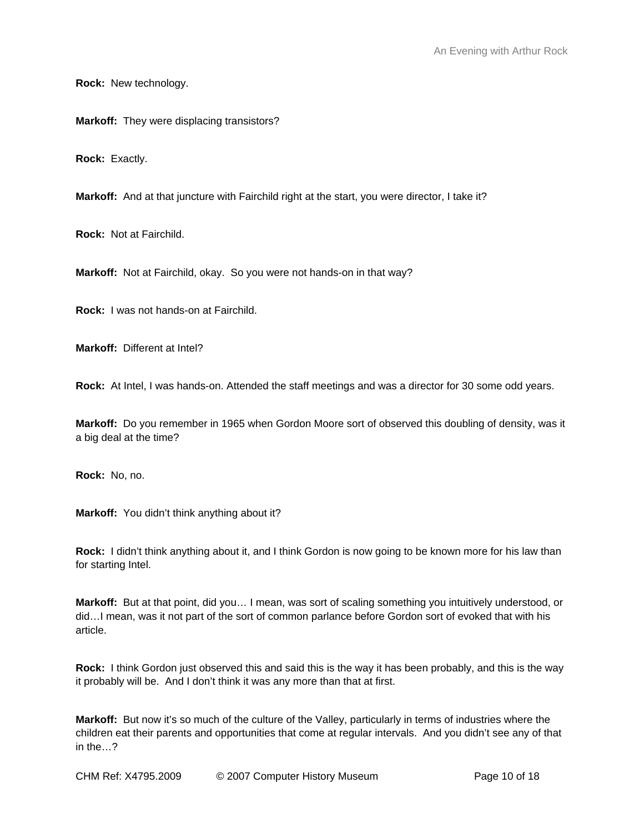**Rock:** New technology.

**Markoff:** They were displacing transistors?

**Rock:** Exactly.

**Markoff:** And at that juncture with Fairchild right at the start, you were director, I take it?

**Rock:** Not at Fairchild.

**Markoff:** Not at Fairchild, okay. So you were not hands-on in that way?

**Rock:** I was not hands-on at Fairchild.

**Markoff:** Different at Intel?

**Rock:** At Intel, I was hands-on. Attended the staff meetings and was a director for 30 some odd years.

**Markoff:** Do you remember in 1965 when Gordon Moore sort of observed this doubling of density, was it a big deal at the time?

**Rock:** No, no.

**Markoff:** You didn't think anything about it?

**Rock:** I didn't think anything about it, and I think Gordon is now going to be known more for his law than for starting Intel.

**Markoff:** But at that point, did you… I mean, was sort of scaling something you intuitively understood, or did…I mean, was it not part of the sort of common parlance before Gordon sort of evoked that with his article.

**Rock:** I think Gordon just observed this and said this is the way it has been probably, and this is the way it probably will be. And I don't think it was any more than that at first.

**Markoff:** But now it's so much of the culture of the Valley, particularly in terms of industries where the children eat their parents and opportunities that come at regular intervals. And you didn't see any of that in the…?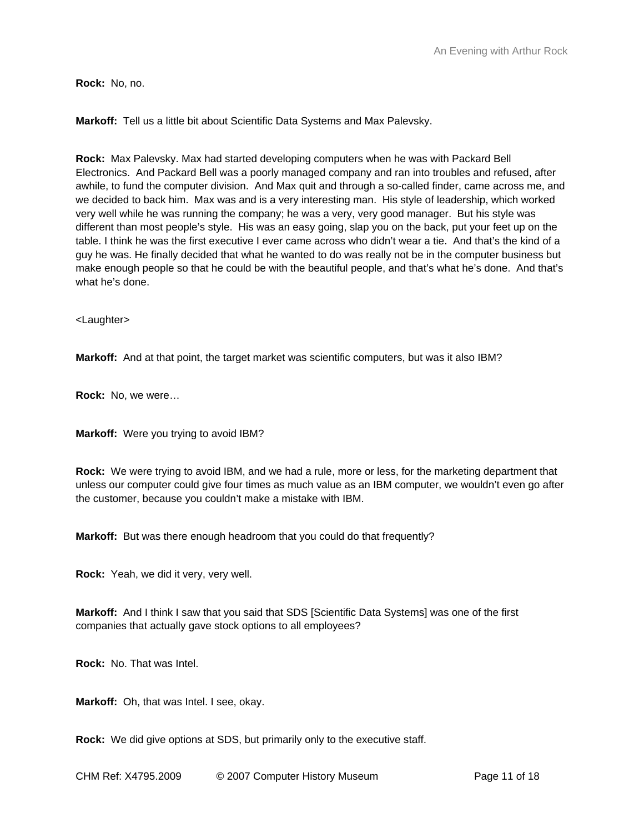**Rock:** No, no.

**Markoff:** Tell us a little bit about Scientific Data Systems and Max Palevsky.

**Rock:** Max Palevsky. Max had started developing computers when he was with Packard Bell Electronics. And Packard Bell was a poorly managed company and ran into troubles and refused, after awhile, to fund the computer division. And Max quit and through a so-called finder, came across me, and we decided to back him. Max was and is a very interesting man. His style of leadership, which worked very well while he was running the company; he was a very, very good manager. But his style was different than most people's style. His was an easy going, slap you on the back, put your feet up on the table. I think he was the first executive I ever came across who didn't wear a tie. And that's the kind of a guy he was. He finally decided that what he wanted to do was really not be in the computer business but make enough people so that he could be with the beautiful people, and that's what he's done. And that's what he's done.

<Laughter>

**Markoff:** And at that point, the target market was scientific computers, but was it also IBM?

**Rock:** No, we were…

**Markoff:** Were you trying to avoid IBM?

**Rock:** We were trying to avoid IBM, and we had a rule, more or less, for the marketing department that unless our computer could give four times as much value as an IBM computer, we wouldn't even go after the customer, because you couldn't make a mistake with IBM.

**Markoff:** But was there enough headroom that you could do that frequently?

**Rock:** Yeah, we did it very, very well.

**Markoff:** And I think I saw that you said that SDS [Scientific Data Systems] was one of the first companies that actually gave stock options to all employees?

**Rock:** No. That was Intel.

**Markoff:** Oh, that was Intel. I see, okay.

**Rock:** We did give options at SDS, but primarily only to the executive staff.

CHM Ref: X4795.2009 © 2007 Computer History Museum Page 11 of 18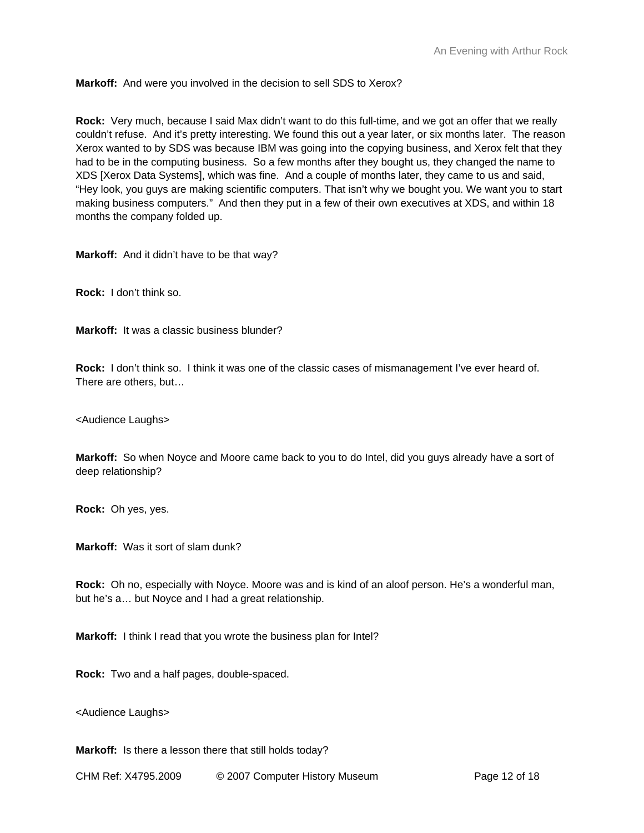**Markoff:** And were you involved in the decision to sell SDS to Xerox?

**Rock:** Very much, because I said Max didn't want to do this full-time, and we got an offer that we really couldn't refuse. And it's pretty interesting. We found this out a year later, or six months later. The reason Xerox wanted to by SDS was because IBM was going into the copying business, and Xerox felt that they had to be in the computing business. So a few months after they bought us, they changed the name to XDS [Xerox Data Systems], which was fine. And a couple of months later, they came to us and said, "Hey look, you guys are making scientific computers. That isn't why we bought you. We want you to start making business computers." And then they put in a few of their own executives at XDS, and within 18 months the company folded up.

**Markoff:** And it didn't have to be that way?

**Rock:** I don't think so.

**Markoff:** It was a classic business blunder?

**Rock:** I don't think so. I think it was one of the classic cases of mismanagement I've ever heard of. There are others, but…

<Audience Laughs>

**Markoff:** So when Noyce and Moore came back to you to do Intel, did you guys already have a sort of deep relationship?

**Rock:** Oh yes, yes.

**Markoff:** Was it sort of slam dunk?

**Rock:** Oh no, especially with Noyce. Moore was and is kind of an aloof person. He's a wonderful man, but he's a… but Noyce and I had a great relationship.

**Markoff:** I think I read that you wrote the business plan for Intel?

**Rock:** Two and a half pages, double-spaced.

<Audience Laughs>

**Markoff:** Is there a lesson there that still holds today?

CHM Ref: X4795.2009 © 2007 Computer History Museum Page 12 of 18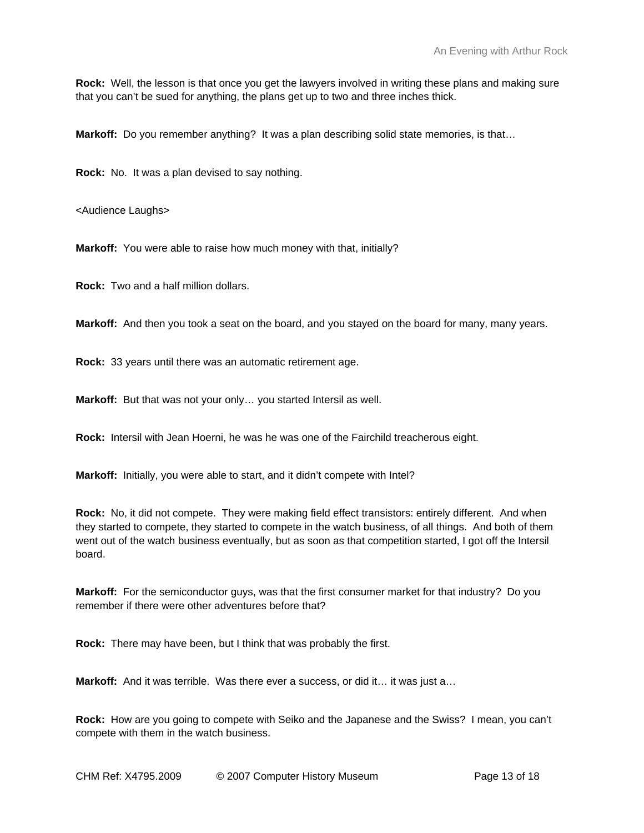**Rock:** Well, the lesson is that once you get the lawyers involved in writing these plans and making sure that you can't be sued for anything, the plans get up to two and three inches thick.

**Markoff:** Do you remember anything? It was a plan describing solid state memories, is that...

**Rock:** No. It was a plan devised to say nothing.

<Audience Laughs>

**Markoff:** You were able to raise how much money with that, initially?

**Rock:** Two and a half million dollars.

**Markoff:** And then you took a seat on the board, and you stayed on the board for many, many years.

**Rock:** 33 years until there was an automatic retirement age.

**Markoff:** But that was not your only… you started Intersil as well.

**Rock:** Intersil with Jean Hoerni, he was he was one of the Fairchild treacherous eight.

**Markoff:** Initially, you were able to start, and it didn't compete with Intel?

**Rock:** No, it did not compete. They were making field effect transistors: entirely different. And when they started to compete, they started to compete in the watch business, of all things. And both of them went out of the watch business eventually, but as soon as that competition started, I got off the Intersil board.

**Markoff:** For the semiconductor guys, was that the first consumer market for that industry? Do you remember if there were other adventures before that?

**Rock:** There may have been, but I think that was probably the first.

**Markoff:** And it was terrible. Was there ever a success, or did it... it was just a...

**Rock:** How are you going to compete with Seiko and the Japanese and the Swiss? I mean, you can't compete with them in the watch business.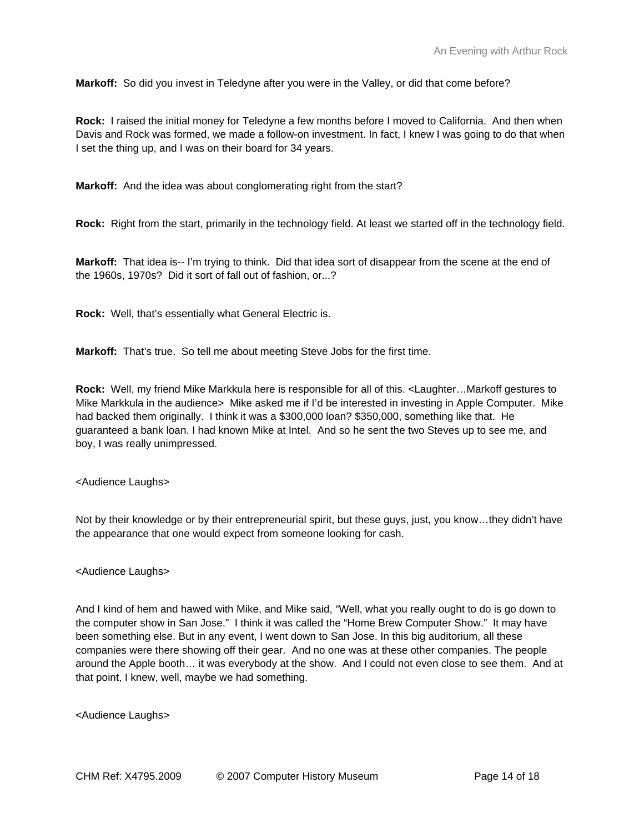**Markoff:** So did you invest in Teledyne after you were in the Valley, or did that come before?

**Rock:** I raised the initial money for Teledyne a few months before I moved to California. And then when Davis and Rock was formed, we made a follow-on investment. In fact, I knew I was going to do that when I set the thing up, and I was on their board for 34 years.

**Markoff:** And the idea was about conglomerating right from the start?

**Rock:** Right from the start, primarily in the technology field. At least we started off in the technology field.

**Markoff:** That idea is-- I'm trying to think. Did that idea sort of disappear from the scene at the end of the 1960s, 1970s? Did it sort of fall out of fashion, or...?

**Rock:** Well, that's essentially what General Electric is.

**Markoff:** That's true. So tell me about meeting Steve Jobs for the first time.

**Rock:** Well, my friend Mike Markkula here is responsible for all of this. <Laughter…Markoff gestures to Mike Markkula in the audience> Mike asked me if I'd be interested in investing in Apple Computer. Mike had backed them originally. I think it was a \$300,000 loan? \$350,000, something like that. He guaranteed a bank loan. I had known Mike at Intel. And so he sent the two Steves up to see me, and boy, I was really unimpressed.

<Audience Laughs>

Not by their knowledge or by their entrepreneurial spirit, but these guys, just, you know…they didn't have the appearance that one would expect from someone looking for cash.

## <Audience Laughs>

And I kind of hem and hawed with Mike, and Mike said, "Well, what you really ought to do is go down to the computer show in San Jose." I think it was called the "Home Brew Computer Show." It may have been something else. But in any event, I went down to San Jose. In this big auditorium, all these companies were there showing off their gear. And no one was at these other companies. The people around the Apple booth… it was everybody at the show. And I could not even close to see them. And at that point, I knew, well, maybe we had something.

<Audience Laughs>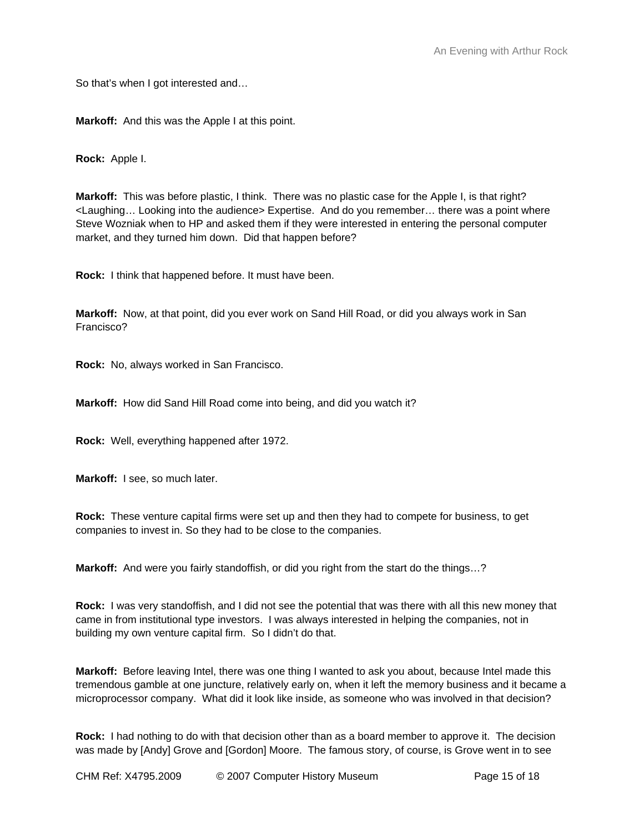So that's when I got interested and…

**Markoff:** And this was the Apple I at this point.

**Rock:** Apple I.

**Markoff:** This was before plastic, I think. There was no plastic case for the Apple I, is that right? <Laughing… Looking into the audience> Expertise. And do you remember… there was a point where Steve Wozniak when to HP and asked them if they were interested in entering the personal computer market, and they turned him down. Did that happen before?

**Rock:** I think that happened before. It must have been.

**Markoff:** Now, at that point, did you ever work on Sand Hill Road, or did you always work in San Francisco?

**Rock:** No, always worked in San Francisco.

**Markoff:** How did Sand Hill Road come into being, and did you watch it?

**Rock:** Well, everything happened after 1972.

**Markoff:** I see, so much later.

**Rock:** These venture capital firms were set up and then they had to compete for business, to get companies to invest in. So they had to be close to the companies.

**Markoff:** And were you fairly standoffish, or did you right from the start do the things…?

**Rock:** I was very standoffish, and I did not see the potential that was there with all this new money that came in from institutional type investors. I was always interested in helping the companies, not in building my own venture capital firm. So I didn't do that.

**Markoff:** Before leaving Intel, there was one thing I wanted to ask you about, because Intel made this tremendous gamble at one juncture, relatively early on, when it left the memory business and it became a microprocessor company. What did it look like inside, as someone who was involved in that decision?

**Rock:** I had nothing to do with that decision other than as a board member to approve it. The decision was made by [Andy] Grove and [Gordon] Moore. The famous story, of course, is Grove went in to see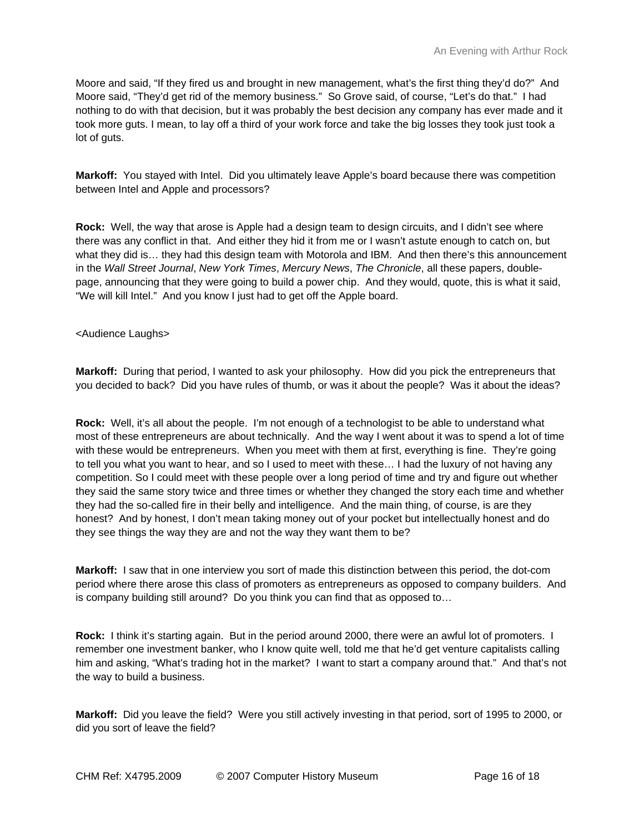Moore and said, "If they fired us and brought in new management, what's the first thing they'd do?" And Moore said, "They'd get rid of the memory business." So Grove said, of course, "Let's do that." I had nothing to do with that decision, but it was probably the best decision any company has ever made and it took more guts. I mean, to lay off a third of your work force and take the big losses they took just took a lot of guts.

**Markoff:** You stayed with Intel. Did you ultimately leave Apple's board because there was competition between Intel and Apple and processors?

**Rock:** Well, the way that arose is Apple had a design team to design circuits, and I didn't see where there was any conflict in that. And either they hid it from me or I wasn't astute enough to catch on, but what they did is... they had this design team with Motorola and IBM. And then there's this announcement in the *Wall Street Journal*, *New York Times*, *Mercury News*, *The Chronicle*, all these papers, doublepage, announcing that they were going to build a power chip. And they would, quote, this is what it said, "We will kill Intel." And you know I just had to get off the Apple board.

## <Audience Laughs>

**Markoff:** During that period, I wanted to ask your philosophy. How did you pick the entrepreneurs that you decided to back? Did you have rules of thumb, or was it about the people? Was it about the ideas?

**Rock:** Well, it's all about the people. I'm not enough of a technologist to be able to understand what most of these entrepreneurs are about technically. And the way I went about it was to spend a lot of time with these would be entrepreneurs. When you meet with them at first, everything is fine. They're going to tell you what you want to hear, and so I used to meet with these… I had the luxury of not having any competition. So I could meet with these people over a long period of time and try and figure out whether they said the same story twice and three times or whether they changed the story each time and whether they had the so-called fire in their belly and intelligence. And the main thing, of course, is are they honest? And by honest, I don't mean taking money out of your pocket but intellectually honest and do they see things the way they are and not the way they want them to be?

**Markoff:** I saw that in one interview you sort of made this distinction between this period, the dot-com period where there arose this class of promoters as entrepreneurs as opposed to company builders. And is company building still around? Do you think you can find that as opposed to…

**Rock:** I think it's starting again. But in the period around 2000, there were an awful lot of promoters. I remember one investment banker, who I know quite well, told me that he'd get venture capitalists calling him and asking, "What's trading hot in the market? I want to start a company around that." And that's not the way to build a business.

**Markoff:** Did you leave the field? Were you still actively investing in that period, sort of 1995 to 2000, or did you sort of leave the field?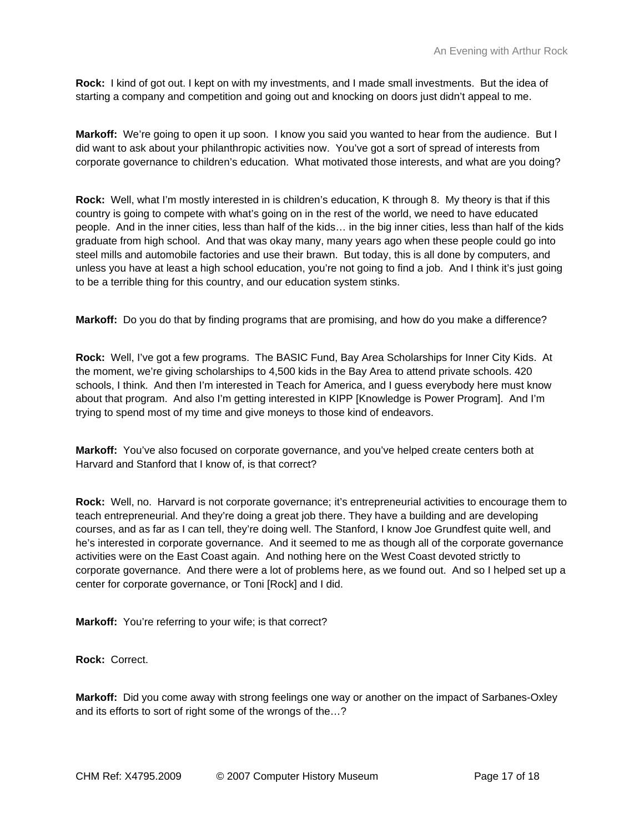**Rock:** I kind of got out. I kept on with my investments, and I made small investments. But the idea of starting a company and competition and going out and knocking on doors just didn't appeal to me.

**Markoff:** We're going to open it up soon. I know you said you wanted to hear from the audience. But I did want to ask about your philanthropic activities now. You've got a sort of spread of interests from corporate governance to children's education. What motivated those interests, and what are you doing?

**Rock:** Well, what I'm mostly interested in is children's education, K through 8. My theory is that if this country is going to compete with what's going on in the rest of the world, we need to have educated people. And in the inner cities, less than half of the kids… in the big inner cities, less than half of the kids graduate from high school. And that was okay many, many years ago when these people could go into steel mills and automobile factories and use their brawn. But today, this is all done by computers, and unless you have at least a high school education, you're not going to find a job. And I think it's just going to be a terrible thing for this country, and our education system stinks.

**Markoff:** Do you do that by finding programs that are promising, and how do you make a difference?

**Rock:** Well, I've got a few programs. The BASIC Fund, Bay Area Scholarships for Inner City Kids. At the moment, we're giving scholarships to 4,500 kids in the Bay Area to attend private schools. 420 schools, I think. And then I'm interested in Teach for America, and I guess everybody here must know about that program. And also I'm getting interested in KIPP [Knowledge is Power Program]. And I'm trying to spend most of my time and give moneys to those kind of endeavors.

**Markoff:** You've also focused on corporate governance, and you've helped create centers both at Harvard and Stanford that I know of, is that correct?

**Rock:** Well, no. Harvard is not corporate governance; it's entrepreneurial activities to encourage them to teach entrepreneurial. And they're doing a great job there. They have a building and are developing courses, and as far as I can tell, they're doing well. The Stanford, I know Joe Grundfest quite well, and he's interested in corporate governance. And it seemed to me as though all of the corporate governance activities were on the East Coast again. And nothing here on the West Coast devoted strictly to corporate governance. And there were a lot of problems here, as we found out. And so I helped set up a center for corporate governance, or Toni [Rock] and I did.

**Markoff:** You're referring to your wife; is that correct?

**Rock:** Correct.

**Markoff:** Did you come away with strong feelings one way or another on the impact of Sarbanes-Oxley and its efforts to sort of right some of the wrongs of the…?